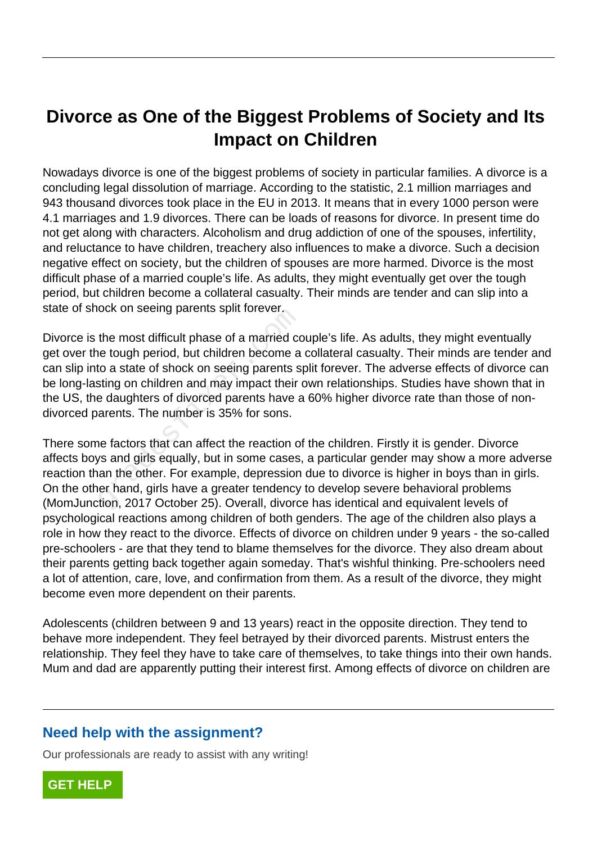## **Divorce as One of the Biggest Problems of Society and Its Impact on Children**

Nowadays divorce is one of the biggest problems of society in particular families. A divorce is a concluding legal dissolution of marriage. According to the statistic, 2.1 million marriages and 943 thousand divorces took place in the EU in 2013. It means that in every 1000 person were 4.1 marriages and 1.9 divorces. There can be loads of reasons for divorce. In present time do not get along with characters. Alcoholism and drug addiction of one of the spouses, infertility, and reluctance to have children, treachery also influences to make a divorce. Such a decision negative effect on society, but the children of spouses are more harmed. Divorce is the most difficult phase of a married couple's life. As adults, they might eventually get over the tough period, but children become a collateral casualty. Their minds are tender and can slip into a state of shock on seeing parents split forever.

Divorce is the most difficult phase of a married couple's life. As adults, they might eventually get over the tough period, but children become a collateral casualty. Their minds are tender and can slip into a state of shock on seeing parents split forever. The adverse effects of divorce can be long-lasting on children and may impact their own relationships. Studies have shown that in the US, the daughters of divorced parents have a 60% higher divorce rate than those of nondivorced parents. The number is 35% for sons. but on seemy parents spin forever.<br>the most difficult phase of a married core tough period, but children become a<br>to a state of shock on seeing parents s<br>sting on children and may impact their<br>e daughters of divorced paren

There some factors that can affect the reaction of the children. Firstly it is gender. Divorce affects boys and girls equally, but in some cases, a particular gender may show a more adverse reaction than the other. For example, depression due to divorce is higher in boys than in girls. On the other hand, girls have a greater tendency to develop severe behavioral problems (MomJunction, 2017 October 25). Overall, divorce has identical and equivalent levels of psychological reactions among children of both genders. The age of the children also plays a role in how they react to the divorce. Effects of divorce on children under 9 years - the so-called pre-schoolers - are that they tend to blame themselves for the divorce. They also dream about their parents getting back together again someday. That's wishful thinking. Pre-schoolers need a lot of attention, care, love, and confirmation from them. As a result of the divorce, they might become even more dependent on their parents.

Adolescents (children between 9 and 13 years) react in the opposite direction. They tend to behave more independent. They feel betrayed by their divorced parents. Mistrust enters the relationship. They feel they have to take care of themselves, to take things into their own hands. Mum and dad are apparently putting their interest first. Among effects of divorce on children are

## **Need help with the assignment?**

Our professionals are ready to assist with any writing!